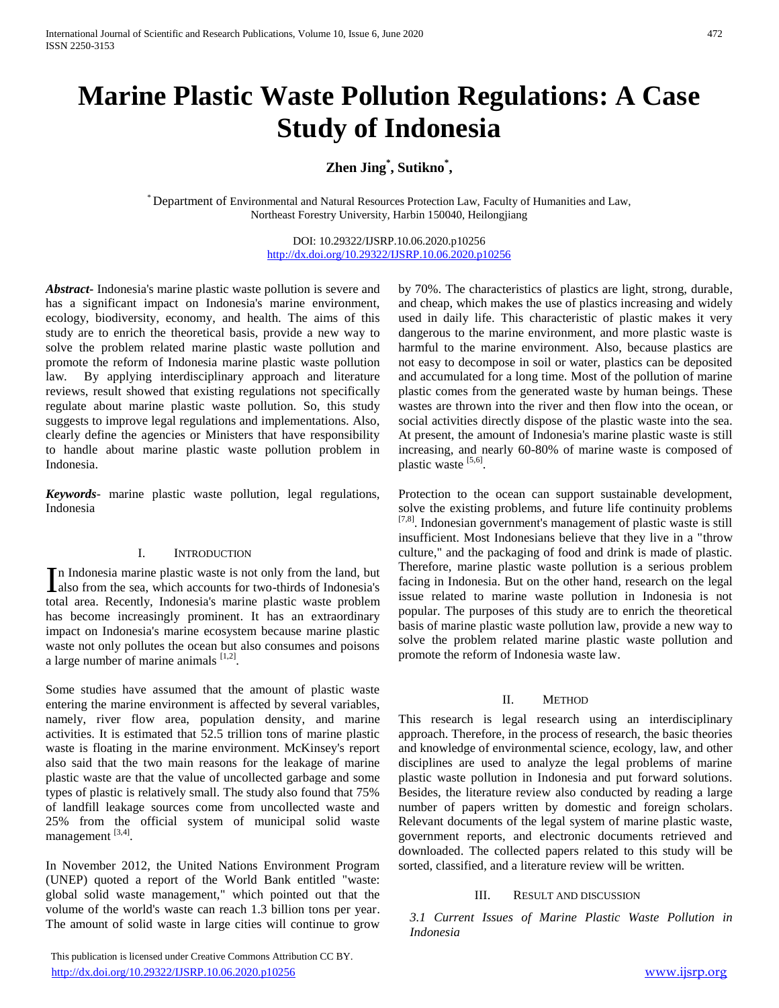# **Marine Plastic Waste Pollution Regulations: A Case Study of Indonesia**

## **Zhen Jing\* , Sutikno\* ,**

\* Department of Environmental and Natural Resources Protection Law, Faculty of Humanities and Law, Northeast Forestry University, Harbin 150040, Heilongjiang

> DOI: 10.29322/IJSRP.10.06.2020.p10256 <http://dx.doi.org/10.29322/IJSRP.10.06.2020.p10256>

*Abstract***-** Indonesia's marine plastic waste pollution is severe and has a significant impact on Indonesia's marine environment, ecology, biodiversity, economy, and health. The aims of this study are to enrich the theoretical basis, provide a new way to solve the problem related marine plastic waste pollution and promote the reform of Indonesia marine plastic waste pollution law. By applying interdisciplinary approach and literature reviews, result showed that existing regulations not specifically regulate about marine plastic waste pollution. So, this study suggests to improve legal regulations and implementations. Also, clearly define the agencies or Ministers that have responsibility to handle about marine plastic waste pollution problem in Indonesia.

*Keywords*- marine plastic waste pollution, legal regulations, Indonesia

## I. INTRODUCTION

n Indonesia marine plastic waste is not only from the land, but In Indonesia marine plastic waste is not only from the land, but<br>also from the sea, which accounts for two-thirds of Indonesia's total area. Recently, Indonesia's marine plastic waste problem has become increasingly prominent. It has an extraordinary impact on Indonesia's marine ecosystem because marine plastic waste not only pollutes the ocean but also consumes and poisons a large number of marine animals  $[1,2]$ .

Some studies have assumed that the amount of plastic waste entering the marine environment is affected by several variables, namely, river flow area, population density, and marine activities. It is estimated that 52.5 trillion tons of marine plastic waste is floating in the marine environment. McKinsey's report also said that the two main reasons for the leakage of marine plastic waste are that the value of uncollected garbage and some types of plastic is relatively small. The study also found that 75% of landfill leakage sources come from uncollected waste and 25% from the official system of municipal solid waste management [3,4].

In November 2012, the United Nations Environment Program (UNEP) quoted a report of the World Bank entitled "waste: global solid waste management," which pointed out that the volume of the world's waste can reach 1.3 billion tons per year. The amount of solid waste in large cities will continue to grow

 This publication is licensed under Creative Commons Attribution CC BY. <http://dx.doi.org/10.29322/IJSRP.10.06.2020.p10256> [www.ijsrp.org](http://ijsrp.org/)

by 70%. The characteristics of plastics are light, strong, durable, and cheap, which makes the use of plastics increasing and widely used in daily life. This characteristic of plastic makes it very dangerous to the marine environment, and more plastic waste is harmful to the marine environment. Also, because plastics are not easy to decompose in soil or water, plastics can be deposited and accumulated for a long time. Most of the pollution of marine plastic comes from the generated waste by human beings. These wastes are thrown into the river and then flow into the ocean, or social activities directly dispose of the plastic waste into the sea. At present, the amount of Indonesia's marine plastic waste is still increasing, and nearly 60-80% of marine waste is composed of plastic waste [5,6].

Protection to the ocean can support sustainable development, solve the existing problems, and future life continuity problems [7,8]. Indonesian government's management of plastic waste is still insufficient. Most Indonesians believe that they live in a "throw culture," and the packaging of food and drink is made of plastic. Therefore, marine plastic waste pollution is a serious problem facing in Indonesia. But on the other hand, research on the legal issue related to marine waste pollution in Indonesia is not popular. The purposes of this study are to enrich the theoretical basis of marine plastic waste pollution law, provide a new way to solve the problem related marine plastic waste pollution and promote the reform of Indonesia waste law.

## II. METHOD

This research is legal research using an interdisciplinary approach. Therefore, in the process of research, the basic theories and knowledge of environmental science, ecology, law, and other disciplines are used to analyze the legal problems of marine plastic waste pollution in Indonesia and put forward solutions. Besides, the literature review also conducted by reading a large number of papers written by domestic and foreign scholars. Relevant documents of the legal system of marine plastic waste, government reports, and electronic documents retrieved and downloaded. The collected papers related to this study will be sorted, classified, and a literature review will be written.

### III. RESULT AND DISCUSSION

*3.1 Current Issues of Marine Plastic Waste Pollution in Indonesia*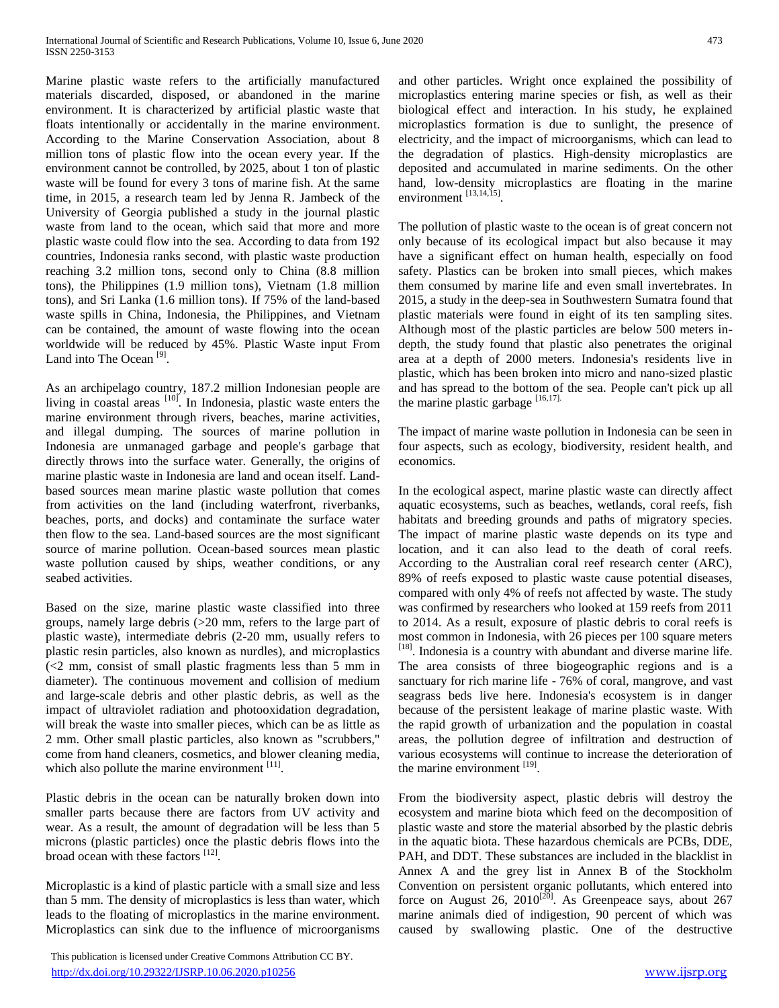Marine plastic waste refers to the artificially manufactured materials discarded, disposed, or abandoned in the marine environment. It is characterized by artificial plastic waste that floats intentionally or accidentally in the marine environment. According to the Marine Conservation Association, about 8 million tons of plastic flow into the ocean every year. If the environment cannot be controlled, by 2025, about 1 ton of plastic waste will be found for every 3 tons of marine fish. At the same time, in 2015, a research team led by Jenna R. Jambeck of the University of Georgia published a study in the journal plastic waste from land to the ocean, which said that more and more plastic waste could flow into the sea. According to data from 192 countries, Indonesia ranks second, with plastic waste production reaching 3.2 million tons, second only to China (8.8 million tons), the Philippines (1.9 million tons), Vietnam (1.8 million tons), and Sri Lanka (1.6 million tons). If 75% of the land-based waste spills in China, Indonesia, the Philippines, and Vietnam can be contained, the amount of waste flowing into the ocean worldwide will be reduced by 45%. Plastic Waste input From Land into The Ocean<sup>[9]</sup>.

As an archipelago country, 187.2 million Indonesian people are living in coastal areas  $[10]$ . In Indonesia, plastic waste enters the marine environment through rivers, beaches, marine activities, and illegal dumping. The sources of marine pollution in Indonesia are unmanaged garbage and people's garbage that directly throws into the surface water. Generally, the origins of marine plastic waste in Indonesia are land and ocean itself. Landbased sources mean marine plastic waste pollution that comes from activities on the land (including waterfront, riverbanks, beaches, ports, and docks) and contaminate the surface water then flow to the sea. Land-based sources are the most significant source of marine pollution. Ocean-based sources mean plastic waste pollution caused by ships, weather conditions, or any seabed activities.

Based on the size, marine plastic waste classified into three groups, namely large debris (>20 mm, refers to the large part of plastic waste), intermediate debris (2-20 mm, usually refers to plastic resin particles, also known as nurdles), and microplastics (<2 mm, consist of small plastic fragments less than 5 mm in diameter). The continuous movement and collision of medium and large-scale debris and other plastic debris, as well as the impact of ultraviolet radiation and photooxidation degradation, will break the waste into smaller pieces, which can be as little as 2 mm. Other small plastic particles, also known as "scrubbers," come from hand cleaners, cosmetics, and blower cleaning media, which also pollute the marine environment  $[11]$ .

Plastic debris in the ocean can be naturally broken down into smaller parts because there are factors from UV activity and wear. As a result, the amount of degradation will be less than 5 microns (plastic particles) once the plastic debris flows into the broad ocean with these factors [12].

Microplastic is a kind of plastic particle with a small size and less than 5 mm. The density of microplastics is less than water, which leads to the floating of microplastics in the marine environment. Microplastics can sink due to the influence of microorganisms

 This publication is licensed under Creative Commons Attribution CC BY. <http://dx.doi.org/10.29322/IJSRP.10.06.2020.p10256> [www.ijsrp.org](http://ijsrp.org/)

and other particles. Wright once explained the possibility of microplastics entering marine species or fish, as well as their biological effect and interaction. In his study, he explained microplastics formation is due to sunlight, the presence of electricity, and the impact of microorganisms, which can lead to the degradation of plastics. High-density microplastics are deposited and accumulated in marine sediments. On the other hand, low-density microplastics are floating in the marine environment  $^{[13,14,15]}$ .

The pollution of plastic waste to the ocean is of great concern not only because of its ecological impact but also because it may have a significant effect on human health, especially on food safety. Plastics can be broken into small pieces, which makes them consumed by marine life and even small invertebrates. In 2015, a study in the deep-sea in Southwestern Sumatra found that plastic materials were found in eight of its ten sampling sites. Although most of the plastic particles are below 500 meters indepth, the study found that plastic also penetrates the original area at a depth of 2000 meters. Indonesia's residents live in plastic, which has been broken into micro and nano-sized plastic and has spread to the bottom of the sea. People can't pick up all the marine plastic garbage [16,17].

The impact of marine waste pollution in Indonesia can be seen in four aspects, such as ecology, biodiversity, resident health, and economics.

In the ecological aspect, marine plastic waste can directly affect aquatic ecosystems, such as beaches, wetlands, coral reefs, fish habitats and breeding grounds and paths of migratory species. The impact of marine plastic waste depends on its type and location, and it can also lead to the death of coral reefs. According to the Australian coral reef research center (ARC), 89% of reefs exposed to plastic waste cause potential diseases, compared with only 4% of reefs not affected by waste. The study was confirmed by researchers who looked at 159 reefs from 2011 to 2014. As a result, exposure of plastic debris to coral reefs is most common in Indonesia, with 26 pieces per 100 square meters [18]. Indonesia is a country with abundant and diverse marine life. The area consists of three biogeographic regions and is a sanctuary for rich marine life - 76% of coral, mangrove, and vast seagrass beds live here. Indonesia's ecosystem is in danger because of the persistent leakage of marine plastic waste. With the rapid growth of urbanization and the population in coastal areas, the pollution degree of infiltration and destruction of various ecosystems will continue to increase the deterioration of the marine environment  $^{[19]}$ .

From the biodiversity aspect, plastic debris will destroy the ecosystem and marine biota which feed on the decomposition of plastic waste and store the material absorbed by the plastic debris in the aquatic biota. These hazardous chemicals are PCBs, DDE, PAH, and DDT. These substances are included in the blacklist in Annex A and the grey list in Annex B of the Stockholm Convention on persistent organic pollutants, which entered into force on August 26,  $2010^{[20]}$ . As Greenpeace says, about 267 marine animals died of indigestion, 90 percent of which was caused by swallowing plastic. One of the destructive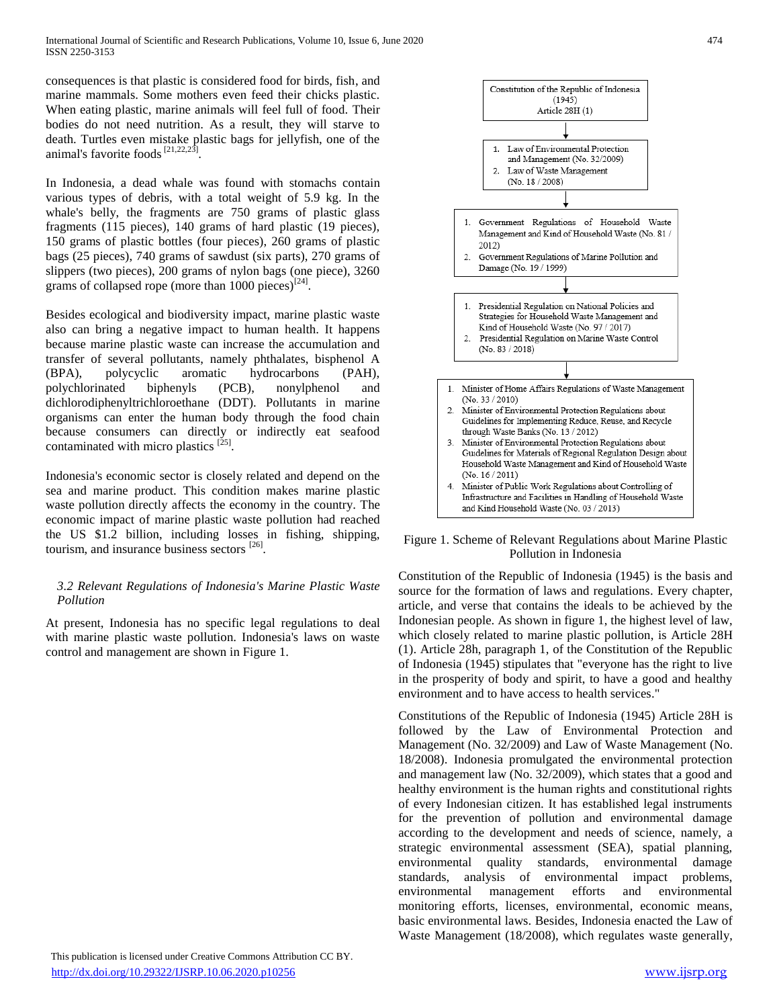consequences is that plastic is considered food for birds, fish, and marine mammals. Some mothers even feed their chicks plastic. When eating plastic, marine animals will feel full of food. Their bodies do not need nutrition. As a result, they will starve to death. Turtles even mistake plastic bags for jellyfish, one of the animal's favorite foods<sup>[21,22,23]</sup> .

In Indonesia, a dead whale was found with stomachs contain various types of debris, with a total weight of 5.9 kg. In the whale's belly, the fragments are 750 grams of plastic glass fragments (115 pieces), 140 grams of hard plastic (19 pieces), 150 grams of plastic bottles (four pieces), 260 grams of plastic bags (25 pieces), 740 grams of sawdust (six parts), 270 grams of slippers (two pieces), 200 grams of nylon bags (one piece), 3260 grams of collapsed rope (more than  $1000$  pieces)<sup>[24]</sup>.

Besides ecological and biodiversity impact, marine plastic waste also can bring a negative impact to human health. It happens because marine plastic waste can increase the accumulation and transfer of several pollutants, namely phthalates, bisphenol A (BPA), polycyclic aromatic hydrocarbons (PAH), polychlorinated biphenyls (PCB), nonylphenol and dichlorodiphenyltrichloroethane (DDT). Pollutants in marine organisms can enter the human body through the food chain because consumers can directly or indirectly eat seafood contaminated with micro plastics  $^{[25]}$ .

Indonesia's economic sector is closely related and depend on the sea and marine product. This condition makes marine plastic waste pollution directly affects the economy in the country. The economic impact of marine plastic waste pollution had reached the US \$1.2 billion, including losses in fishing, shipping, tourism, and insurance business sectors <sup>[26]</sup>.

## *3.2 Relevant Regulations of Indonesia's Marine Plastic Waste Pollution*

At present, Indonesia has no specific legal regulations to deal with marine plastic waste pollution. Indonesia's laws on waste control and management are shown in Figure 1.





Figure 1. Scheme of Relevant Regulations about Marine Plastic Pollution in Indonesia

Constitution of the Republic of Indonesia (1945) is the basis and source for the formation of laws and regulations. Every chapter, article, and verse that contains the ideals to be achieved by the Indonesian people. As shown in figure 1, the highest level of law, which closely related to marine plastic pollution, is Article 28H (1). Article 28h, paragraph 1, of the Constitution of the Republic of Indonesia (1945) stipulates that "everyone has the right to live in the prosperity of body and spirit, to have a good and healthy environment and to have access to health services."

Constitutions of the Republic of Indonesia (1945) Article 28H is followed by the Law of Environmental Protection and Management (No. 32/2009) and Law of Waste Management (No. 18/2008). Indonesia promulgated the environmental protection and management law (No. 32/2009), which states that a good and healthy environment is the human rights and constitutional rights of every Indonesian citizen. It has established legal instruments for the prevention of pollution and environmental damage according to the development and needs of science, namely, a strategic environmental assessment (SEA), spatial planning, environmental quality standards, environmental damage standards, analysis of environmental impact problems, environmental management efforts and environmental monitoring efforts, licenses, environmental, economic means, basic environmental laws. Besides, Indonesia enacted the Law of Waste Management (18/2008), which regulates waste generally,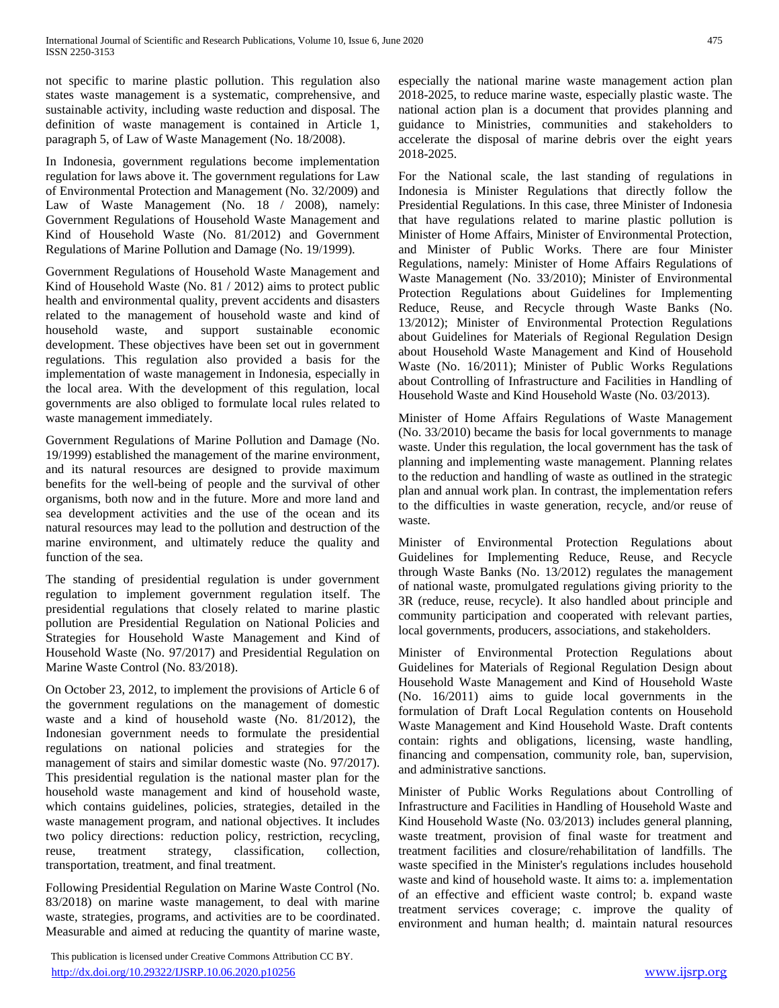not specific to marine plastic pollution. This regulation also states waste management is a systematic, comprehensive, and sustainable activity, including waste reduction and disposal. The definition of waste management is contained in Article 1, paragraph 5, of Law of Waste Management (No. 18/2008).

In Indonesia, government regulations become implementation regulation for laws above it. The government regulations for Law of Environmental Protection and Management (No. 32/2009) and Law of Waste Management (No. 18 / 2008), namely: Government Regulations of Household Waste Management and Kind of Household Waste (No. 81/2012) and Government Regulations of Marine Pollution and Damage (No. 19/1999).

Government Regulations of Household Waste Management and Kind of Household Waste (No. 81 / 2012) aims to protect public health and environmental quality, prevent accidents and disasters related to the management of household waste and kind of household waste, and support sustainable economic development. These objectives have been set out in government regulations. This regulation also provided a basis for the implementation of waste management in Indonesia, especially in the local area. With the development of this regulation, local governments are also obliged to formulate local rules related to waste management immediately.

Government Regulations of Marine Pollution and Damage (No. 19/1999) established the management of the marine environment, and its natural resources are designed to provide maximum benefits for the well-being of people and the survival of other organisms, both now and in the future. More and more land and sea development activities and the use of the ocean and its natural resources may lead to the pollution and destruction of the marine environment, and ultimately reduce the quality and function of the sea.

The standing of presidential regulation is under government regulation to implement government regulation itself. The presidential regulations that closely related to marine plastic pollution are Presidential Regulation on National Policies and Strategies for Household Waste Management and Kind of Household Waste (No. 97/2017) and Presidential Regulation on Marine Waste Control (No. 83/2018).

On October 23, 2012, to implement the provisions of Article 6 of the government regulations on the management of domestic waste and a kind of household waste (No. 81/2012), the Indonesian government needs to formulate the presidential regulations on national policies and strategies for the management of stairs and similar domestic waste (No. 97/2017). This presidential regulation is the national master plan for the household waste management and kind of household waste, which contains guidelines, policies, strategies, detailed in the waste management program, and national objectives. It includes two policy directions: reduction policy, restriction, recycling, reuse, treatment strategy, classification, collection, transportation, treatment, and final treatment.

Following Presidential Regulation on Marine Waste Control (No. 83/2018) on marine waste management, to deal with marine waste, strategies, programs, and activities are to be coordinated. Measurable and aimed at reducing the quantity of marine waste,

 This publication is licensed under Creative Commons Attribution CC BY. <http://dx.doi.org/10.29322/IJSRP.10.06.2020.p10256> [www.ijsrp.org](http://ijsrp.org/)

especially the national marine waste management action plan 2018-2025, to reduce marine waste, especially plastic waste. The national action plan is a document that provides planning and guidance to Ministries, communities and stakeholders to accelerate the disposal of marine debris over the eight years 2018-2025.

For the National scale, the last standing of regulations in Indonesia is Minister Regulations that directly follow the Presidential Regulations. In this case, three Minister of Indonesia that have regulations related to marine plastic pollution is Minister of Home Affairs, Minister of Environmental Protection, and Minister of Public Works. There are four Minister Regulations, namely: Minister of Home Affairs Regulations of Waste Management (No. 33/2010); Minister of Environmental Protection Regulations about Guidelines for Implementing Reduce, Reuse, and Recycle through Waste Banks (No. 13/2012); Minister of Environmental Protection Regulations about Guidelines for Materials of Regional Regulation Design about Household Waste Management and Kind of Household Waste (No. 16/2011); Minister of Public Works Regulations about Controlling of Infrastructure and Facilities in Handling of Household Waste and Kind Household Waste (No. 03/2013).

Minister of Home Affairs Regulations of Waste Management (No. 33/2010) became the basis for local governments to manage waste. Under this regulation, the local government has the task of planning and implementing waste management. Planning relates to the reduction and handling of waste as outlined in the strategic plan and annual work plan. In contrast, the implementation refers to the difficulties in waste generation, recycle, and/or reuse of waste.

Minister of Environmental Protection Regulations about Guidelines for Implementing Reduce, Reuse, and Recycle through Waste Banks (No. 13/2012) regulates the management of national waste, promulgated regulations giving priority to the 3R (reduce, reuse, recycle). It also handled about principle and community participation and cooperated with relevant parties, local governments, producers, associations, and stakeholders.

Minister of Environmental Protection Regulations about Guidelines for Materials of Regional Regulation Design about Household Waste Management and Kind of Household Waste (No. 16/2011) aims to guide local governments in the formulation of Draft Local Regulation contents on Household Waste Management and Kind Household Waste. Draft contents contain: rights and obligations, licensing, waste handling, financing and compensation, community role, ban, supervision, and administrative sanctions.

Minister of Public Works Regulations about Controlling of Infrastructure and Facilities in Handling of Household Waste and Kind Household Waste (No. 03/2013) includes general planning, waste treatment, provision of final waste for treatment and treatment facilities and closure/rehabilitation of landfills. The waste specified in the Minister's regulations includes household waste and kind of household waste. It aims to: a. implementation of an effective and efficient waste control; b. expand waste treatment services coverage; c. improve the quality of environment and human health; d. maintain natural resources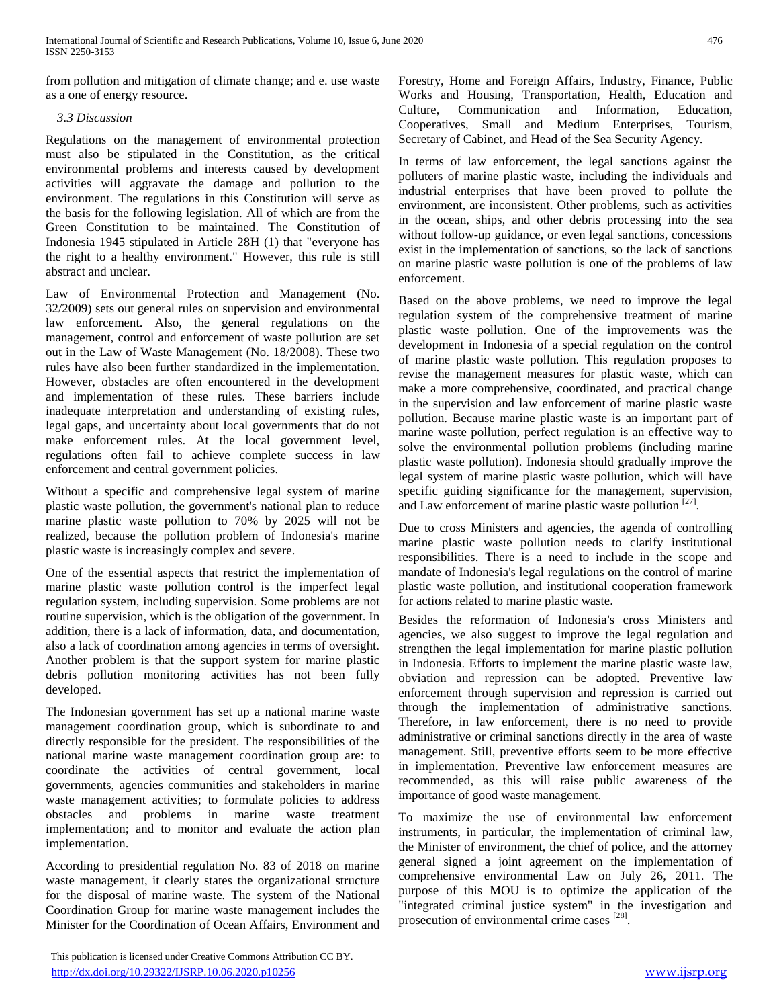International Journal of Scientific and Research Publications, Volume 10, Issue 6, June 2020 476 ISSN 2250-3153

from pollution and mitigation of climate change; and e. use waste as a one of energy resource.

## *3.3 Discussion*

Regulations on the management of environmental protection must also be stipulated in the Constitution, as the critical environmental problems and interests caused by development activities will aggravate the damage and pollution to the environment. The regulations in this Constitution will serve as the basis for the following legislation. All of which are from the Green Constitution to be maintained. The Constitution of Indonesia 1945 stipulated in Article 28H (1) that "everyone has the right to a healthy environment." However, this rule is still abstract and unclear.

Law of Environmental Protection and Management (No. 32/2009) sets out general rules on supervision and environmental law enforcement. Also, the general regulations on the management, control and enforcement of waste pollution are set out in the Law of Waste Management (No. 18/2008). These two rules have also been further standardized in the implementation. However, obstacles are often encountered in the development and implementation of these rules. These barriers include inadequate interpretation and understanding of existing rules, legal gaps, and uncertainty about local governments that do not make enforcement rules. At the local government level, regulations often fail to achieve complete success in law enforcement and central government policies.

Without a specific and comprehensive legal system of marine plastic waste pollution, the government's national plan to reduce marine plastic waste pollution to 70% by 2025 will not be realized, because the pollution problem of Indonesia's marine plastic waste is increasingly complex and severe.

One of the essential aspects that restrict the implementation of marine plastic waste pollution control is the imperfect legal regulation system, including supervision. Some problems are not routine supervision, which is the obligation of the government. In addition, there is a lack of information, data, and documentation, also a lack of coordination among agencies in terms of oversight. Another problem is that the support system for marine plastic debris pollution monitoring activities has not been fully developed.

The Indonesian government has set up a national marine waste management coordination group, which is subordinate to and directly responsible for the president. The responsibilities of the national marine waste management coordination group are: to coordinate the activities of central government, local governments, agencies communities and stakeholders in marine waste management activities; to formulate policies to address obstacles and problems in marine waste treatment implementation; and to monitor and evaluate the action plan implementation.

According to presidential regulation No. 83 of 2018 on marine waste management, it clearly states the organizational structure for the disposal of marine waste. The system of the National Coordination Group for marine waste management includes the Minister for the Coordination of Ocean Affairs, Environment and Forestry, Home and Foreign Affairs, Industry, Finance, Public Works and Housing, Transportation, Health, Education and Culture, Communication and Information, Education, Cooperatives, Small and Medium Enterprises, Tourism, Secretary of Cabinet, and Head of the Sea Security Agency.

In terms of law enforcement, the legal sanctions against the polluters of marine plastic waste, including the individuals and industrial enterprises that have been proved to pollute the environment, are inconsistent. Other problems, such as activities in the ocean, ships, and other debris processing into the sea without follow-up guidance, or even legal sanctions, concessions exist in the implementation of sanctions, so the lack of sanctions on marine plastic waste pollution is one of the problems of law enforcement.

Based on the above problems, we need to improve the legal regulation system of the comprehensive treatment of marine plastic waste pollution. One of the improvements was the development in Indonesia of a special regulation on the control of marine plastic waste pollution. This regulation proposes to revise the management measures for plastic waste, which can make a more comprehensive, coordinated, and practical change in the supervision and law enforcement of marine plastic waste pollution. Because marine plastic waste is an important part of marine waste pollution, perfect regulation is an effective way to solve the environmental pollution problems (including marine plastic waste pollution). Indonesia should gradually improve the legal system of marine plastic waste pollution, which will have specific guiding significance for the management, supervision, and Law enforcement of marine plastic waste pollution [27].

Due to cross Ministers and agencies, the agenda of controlling marine plastic waste pollution needs to clarify institutional responsibilities. There is a need to include in the scope and mandate of Indonesia's legal regulations on the control of marine plastic waste pollution, and institutional cooperation framework for actions related to marine plastic waste.

Besides the reformation of Indonesia's cross Ministers and agencies, we also suggest to improve the legal regulation and strengthen the legal implementation for marine plastic pollution in Indonesia. Efforts to implement the marine plastic waste law, obviation and repression can be adopted. Preventive law enforcement through supervision and repression is carried out through the implementation of administrative sanctions. Therefore, in law enforcement, there is no need to provide administrative or criminal sanctions directly in the area of waste management. Still, preventive efforts seem to be more effective in implementation. Preventive law enforcement measures are recommended, as this will raise public awareness of the importance of good waste management.

To maximize the use of environmental law enforcement instruments, in particular, the implementation of criminal law, the Minister of environment, the chief of police, and the attorney general signed a joint agreement on the implementation of comprehensive environmental Law on July 26, 2011. The purpose of this MOU is to optimize the application of the "integrated criminal justice system" in the investigation and prosecution of environmental crime cases [28].